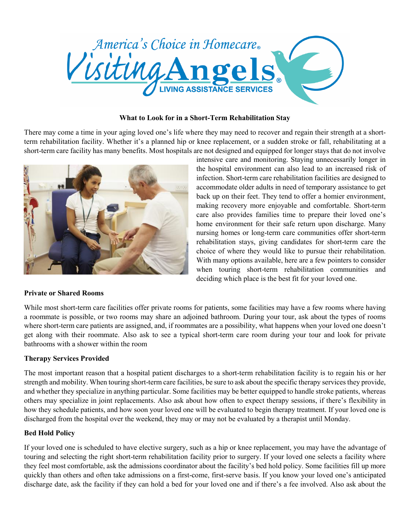

### What to Look for in a Short-Term Rehabilitation Stay

There may come a time in your aging loved one's life where they may need to recover and regain their strength at a shortterm rehabilitation facility. Whether it's a planned hip or knee replacement, or a sudden stroke or fall, rehabilitating at a short-term care facility has many benefits. Most hospitals are not designed and equipped for longer stays that do not involve



# intensive care and monitoring. Staying unnecessarily longer in the hospital environment can also lead to an increased risk of infection. Short-term care rehabilitation facilities are designed to accommodate older adults in need of temporary assistance to get back up on their feet. They tend to offer a homier environment, making recovery more enjoyable and comfortable. Short-term care also provides families time to prepare their loved one's home environment for their safe return upon discharge. Many nursing homes or long-term care communities offer short-term rehabilitation stays, giving candidates for short-term care the choice of where they would like to pursue their rehabilitation. With many options available, here are a few pointers to consider when touring short-term rehabilitation communities and deciding which place is the best fit for your loved one.

### Private or Shared Rooms

While most short-term care facilities offer private rooms for patients, some facilities may have a few rooms where having a roommate is possible, or two rooms may share an adjoined bathroom. During your tour, ask about the types of rooms where short-term care patients are assigned, and, if roommates are a possibility, what happens when your loved one doesn't get along with their roommate. Also ask to see a typical short-term care room during your tour and look for private bathrooms with a shower within the room

## Therapy Services Provided

The most important reason that a hospital patient discharges to a short-term rehabilitation facility is to regain his or her strength and mobility. When touring short-term care facilities, be sure to ask about the specific therapy services they provide, and whether they specialize in anything particular. Some facilities may be better equipped to handle stroke patients, whereas others may specialize in joint replacements. Also ask about how often to expect therapy sessions, if there's flexibility in how they schedule patients, and how soon your loved one will be evaluated to begin therapy treatment. If your loved one is discharged from the hospital over the weekend, they may or may not be evaluated by a therapist until Monday.

### Bed Hold Policy

If your loved one is scheduled to have elective surgery, such as a hip or knee replacement, you may have the advantage of touring and selecting the right short-term rehabilitation facility prior to surgery. If your loved one selects a facility where they feel most comfortable, ask the admissions coordinator about the facility's bed hold policy. Some facilities fill up more quickly than others and often take admissions on a first-come, first-serve basis. If you know your loved one's anticipated discharge date, ask the facility if they can hold a bed for your loved one and if there's a fee involved. Also ask about the